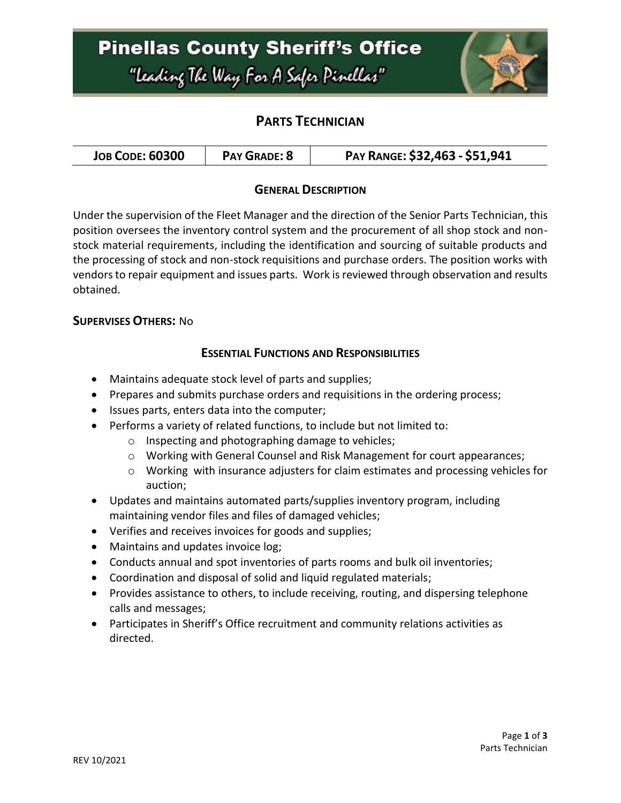## **Pinellas County Sheriff's Office** "Leading The Way For A Safer Pinellar"



### **PARTS TECHNICIAN**

|  | <b>JOB CODE: 60300</b> | <b>PAY GRADE: 8</b> | PAY RANGE: \$32,463 - \$51,941 |
|--|------------------------|---------------------|--------------------------------|
|--|------------------------|---------------------|--------------------------------|

### **GENERAL DESCRIPTION**

Under the supervision of the Fleet Manager and the direction of the Senior Parts Technician, this position oversees the inventory control system and the procurement of all shop stock and nonstock material requirements, including the identification and sourcing of suitable products and the processing of stock and non-stock requisitions and purchase orders. The position works with vendors to repair equipment and issues parts. Work is reviewed through observation and results obtained.

### **SUPERVISES OTHERS:** No

### **ESSENTIAL FUNCTIONS AND RESPONSIBILITIES**

- Maintains adequate stock level of parts and supplies;
- Prepares and submits purchase orders and requisitions in the ordering process;
- Issues parts, enters data into the computer;
- Performs a variety of related functions, to include but not limited to:
	- o Inspecting and photographing damage to vehicles;
	- o Working with General Counsel and Risk Management for court appearances;
	- $\circ$  Working with insurance adjusters for claim estimates and processing vehicles for auction;
- Updates and maintains automated parts/supplies inventory program, including maintaining vendor files and files of damaged vehicles;
- Verifies and receives invoices for goods and supplies;
- Maintains and updates invoice log;
- Conducts annual and spot inventories of parts rooms and bulk oil inventories;
- Coordination and disposal of solid and liquid regulated materials;
- Provides assistance to others, to include receiving, routing, and dispersing telephone calls and messages;
- Participates in Sheriff's Office recruitment and community relations activities as directed.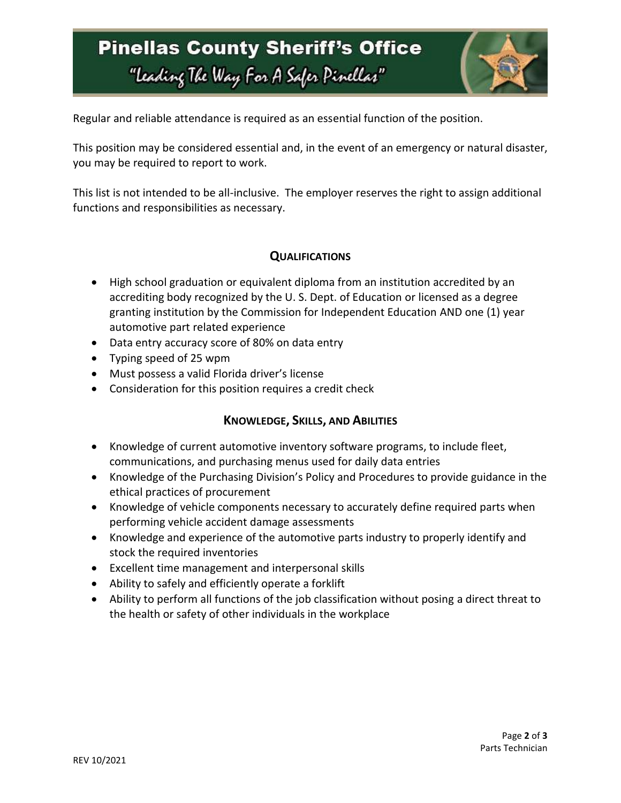## **Pinellas County Sheriff's Office** "Leading The Way For A Safer Pinellar"



Regular and reliable attendance is required as an essential function of the position.

This position may be considered essential and, in the event of an emergency or natural disaster, you may be required to report to work.

This list is not intended to be all-inclusive. The employer reserves the right to assign additional functions and responsibilities as necessary.

### **QUALIFICATIONS**

- High school graduation or equivalent diploma from an institution accredited by an accrediting body recognized by the U. S. Dept. of Education or licensed as a degree granting institution by the Commission for Independent Education AND one (1) year automotive part related experience
- Data entry accuracy score of 80% on data entry
- Typing speed of 25 wpm
- Must possess a valid Florida driver's license
- Consideration for this position requires a credit check

### **KNOWLEDGE, SKILLS, AND ABILITIES**

- Knowledge of current automotive inventory software programs, to include fleet, communications, and purchasing menus used for daily data entries
- Knowledge of the Purchasing Division's Policy and Procedures to provide guidance in the ethical practices of procurement
- Knowledge of vehicle components necessary to accurately define required parts when performing vehicle accident damage assessments
- Knowledge and experience of the automotive parts industry to properly identify and stock the required inventories
- Excellent time management and interpersonal skills
- Ability to safely and efficiently operate a forklift
- Ability to perform all functions of the job classification without posing a direct threat to the health or safety of other individuals in the workplace